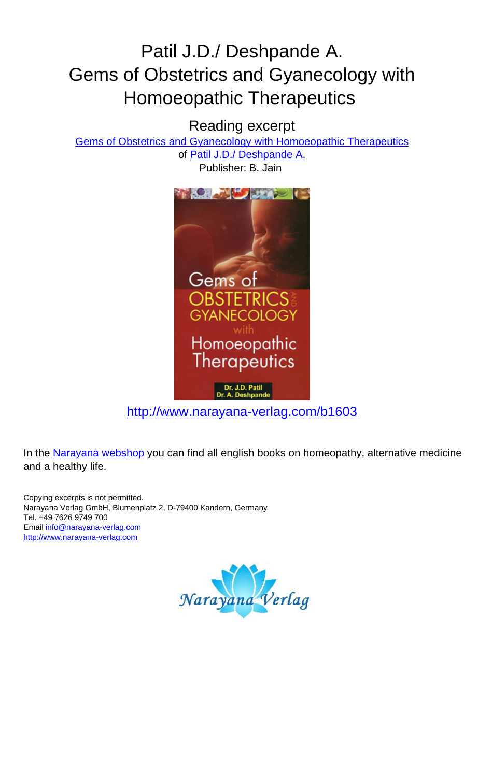### Patil J.D./ Deshpande A. Gems of Obstetrics and Gyanecology with Homoeopathic Therapeutics

#### Reading excerpt

[Gems of Obstetrics and Gyanecology with Homoeopathic Therapeutics](http://www.narayana-verlag.com/Gems-of-Obstetrics-and-Gyanecology-with-Homoeopathic-Therapeutics-J-D-Patil-A-Deshpande/b1603/partner/leseprobe)

of [Patil J.D./ Deshpande A.](http://www.narayana-verlag.com/Patil-J-D-Deshpande-A/a2547/partner/leseprobe) Publisher: B. Jain



[http://www.narayana-verlag.com/b1603](http://www.narayana-verlag.com/Gems-of-Obstetrics-and-Gyanecology-with-Homoeopathic-Therapeutics-J-D-Patil-A-Deshpande/b1603/partner/leseprobe)

In the [Narayana webshop](http://www.narayana-verlag.com/partner/leseprobe) you can find all english books on homeopathy, alternative medicine and a healthy life.

Copying excerpts is not permitted. Narayana Verlag GmbH, Blumenplatz 2, D-79400 Kandern, Germany Tel. +49 7626 9749 700 Email [info@narayana-verlag.com](mailto:info@narayana-verlag.com) [http://www.narayana-verlag.com](http://www.narayana-verlag.com/partner/leseprobe)

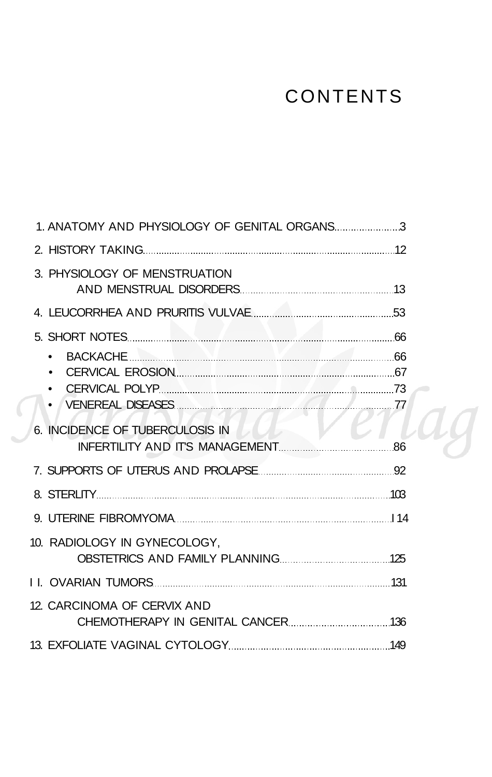# CONTENTS

| 3. PHYSIOLOGY OF MENSTRUATION                                                                                         |  |
|-----------------------------------------------------------------------------------------------------------------------|--|
|                                                                                                                       |  |
| 5. SHORT NOTES <b>And The Contract of the Contract of the Contract of Contract Contract Of Contract Of Contract O</b> |  |
| 6. INCIDENCE OF TUBERCULOSIS IN                                                                                       |  |
|                                                                                                                       |  |
|                                                                                                                       |  |
|                                                                                                                       |  |
| 10. RADIOLOGY IN GYNECOLOGY.                                                                                          |  |
|                                                                                                                       |  |
| 12. CARCINOMA OF CERVIX AND                                                                                           |  |
|                                                                                                                       |  |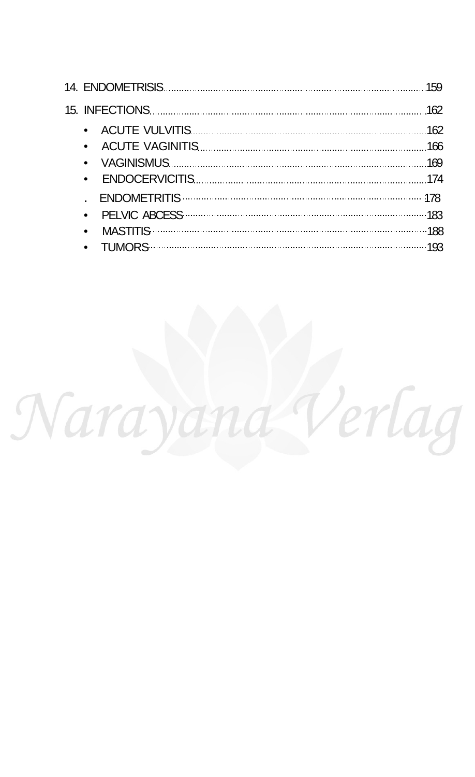| $\bullet$ |  |
|-----------|--|
|           |  |
|           |  |
| $\bullet$ |  |
|           |  |

Narayand Verlag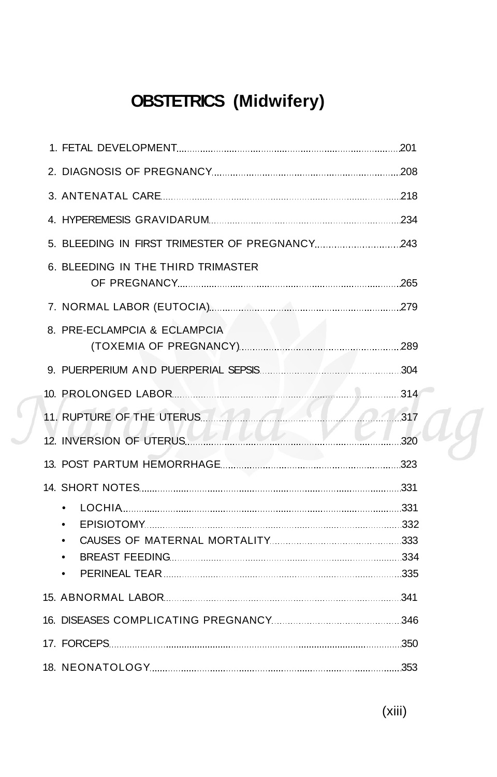## **OBSTETRICS (Midwifery)**

| 6. BLEEDING IN THE THIRD TRIMASTER                  |  |
|-----------------------------------------------------|--|
|                                                     |  |
| 8. PRE-ECLAMPCIA & ECLAMPCIA                        |  |
|                                                     |  |
|                                                     |  |
| 11. RUPTURE OF THE UTERUS. 1444 COMPUTER 1517       |  |
|                                                     |  |
|                                                     |  |
|                                                     |  |
| LOCHIA 2000 231<br>$\bullet$<br>٠<br>٠<br>$\bullet$ |  |
|                                                     |  |
|                                                     |  |
|                                                     |  |
|                                                     |  |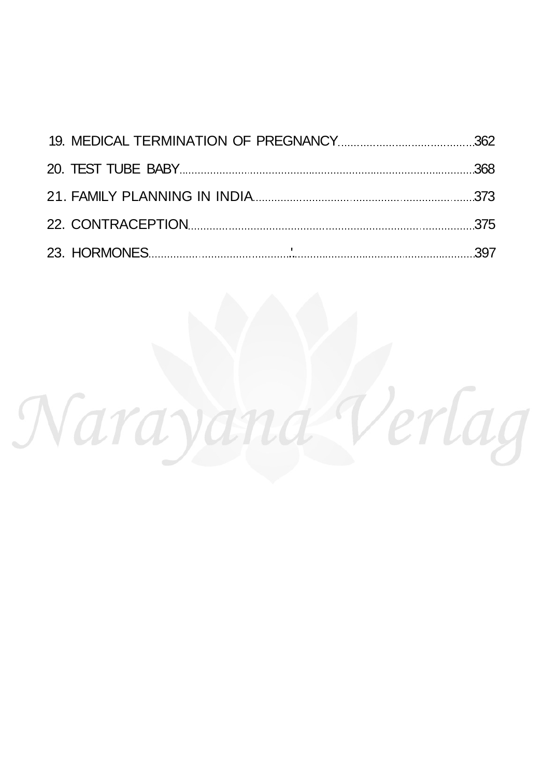| 22. CONTRACEPTION 375 |  |
|-----------------------|--|
|                       |  |